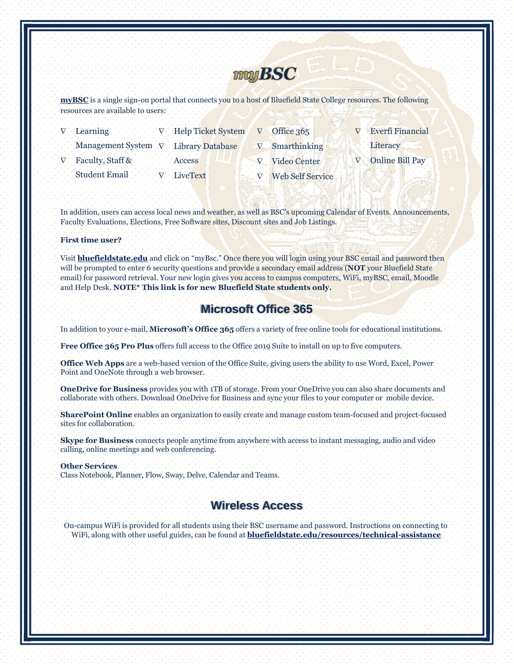

**[myBSC](https://mycampus.bluefieldstate.edu/)** is a single sign-on portal that connects you to a host of Bluefield State College resources. The following resources are available to users:

| $\nabla$ Learning $\nabla$ Help Ticket System | $\nabla$ Office 365       | <b>Everfi Financial</b> |
|-----------------------------------------------|---------------------------|-------------------------|
| Management System $\nabla$ Library Database   | $\nabla$ Smarthinking     | Literacy                |
| V Faculty, Staff & Access                     | V Video Center            | <b>Online Bill Pay</b>  |
| Student Email V LiveText                      | $\nabla$ Web Self Service |                         |

In addition, users can access local news and weather, as well as BSC's upcoming Calendar of Events. Announcements, Faculty Evaluations, Elections, Free Software sites, Discount sites and Job Listings.

### **First time user?**

Visit **bluefieldstate.edu** and click on "myBsc." Once there you will login using your BSC email and password then will be prompted to enter 6 security questions and provide a secondary email address (**NOT** your Bluefield State email) for password retrieval. Your new login gives you access to campus computers, WiFi, myBSC, email, Moodle and Help Desk. **NOTE\* This link is for new Bluefield State students only.**

# **Microsoft Office 365**

In addition to your e-mail, **Microsoft's Office 365** offers a variety of free online tools for educational institutions.

**Free Office 365 Pro Plus** offers full access to the Office 2019 Suite to install on up to five computers.

**Office Web Apps** are a web-based version of the Office Suite, giving users the ability to use Word, Excel, Power Point and OneNote through a web browser.

**OneDrive for Business** provides you with 1TB of storage. From your OneDrive you can also share documents and collaborate with others. Download OneDrive for Business and sync your files to your computer or mobile device.

**SharePoint Online** enables an organization to easily create and manage custom team-focused and project-focused sites for collaboration.

**Skype for Business** connects people anytime from anywhere with access to instant messaging, audio and video calling, online meetings and web conferencing.

#### **Other Services**

Class Notebook, Planner, Flow, Sway, Delve, Calendar and Teams.

# **Wireless Access**

On-campus WiFi is provided for all students using their BSC username and password. Instructions on connecting to WiFi, along with other useful guides, can be found at **[bluefieldstate.edu/resources/technical-assistance](https://bluefieldstate.edu/resources/technical-assistance/)**